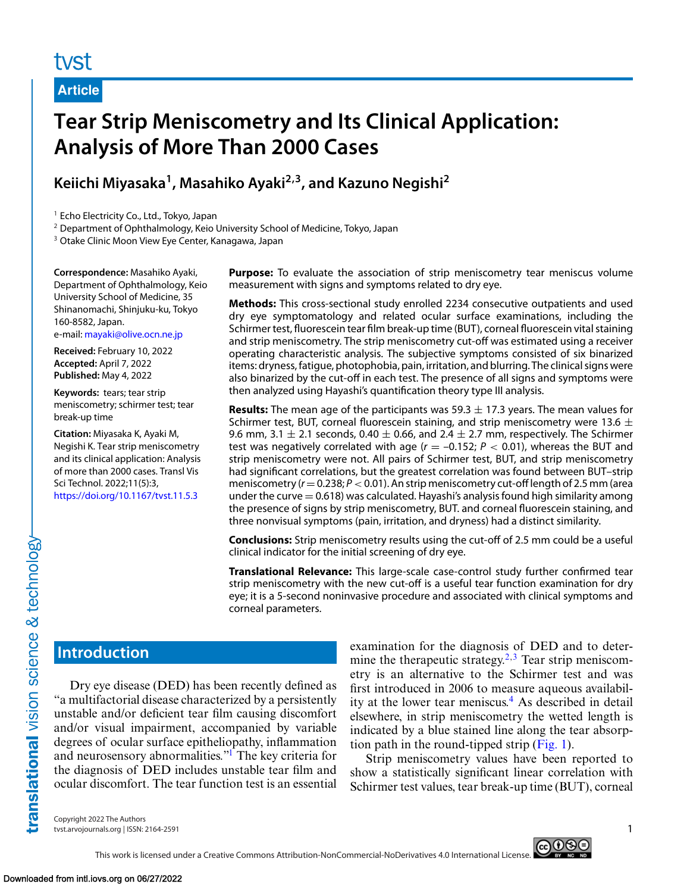# tyst

**Article**

# **Tear Strip Meniscometry and Its Clinical Application: Analysis of More Than 2000 Cases**

# **Keiichi Miyasaka1, Masahiko Ayaki2,3, and Kazuno Negishi2**

<sup>1</sup> Echo Electricity Co., Ltd., Tokyo, Japan

<sup>2</sup> Department of Ophthalmology, Keio University School of Medicine, Tokyo, Japan

<sup>3</sup> Otake Clinic Moon View Eye Center, Kanagawa, Japan

**Correspondence:** Masahiko Ayaki, Department of Ophthalmology, Keio University School of Medicine, 35 Shinanomachi, Shinjuku-ku, Tokyo 160-8582, Japan. e-mail: [mayaki@olive.ocn.ne.jp](mailto:mayaki@olive.ocn.ne.jp)

**Received:** February 10, 2022 **Accepted:** April 7, 2022

**Published:** May 4, 2022 **Keywords:** tears; tear strip meniscometry; schirmer test; tear break-up time

**Citation:** Miyasaka K, Ayaki M, Negishi K. Tear strip meniscometry and its clinical application: Analysis of more than 2000 cases. Transl Vis Sci Technol. 2022;11(5):3, <https://doi.org/10.1167/tvst.11.5.3>

**Purpose:** To evaluate the association of strip meniscometry tear meniscus volume measurement with signs and symptoms related to dry eye.

**Methods:** This cross-sectional study enrolled 2234 consecutive outpatients and used dry eye symptomatology and related ocular surface examinations, including the Schirmer test, fluorescein tear film break-up time (BUT), corneal fluorescein vital staining and strip meniscometry. The strip meniscometry cut-off was estimated using a receiver operating characteristic analysis. The subjective symptoms consisted of six binarized items: dryness,fatigue, photophobia, pain, irritation, and blurring. The clinical signs were also binarized by the cut-off in each test. The presence of all signs and symptoms were then analyzed using Hayashi's quantification theory type III analysis.

**Results:** The mean age of the participants was  $59.3 \pm 17.3$  years. The mean values for Schirmer test, BUT, corneal fluorescein staining, and strip meniscometry were 13.6  $\pm$ 9.6 mm, 3.1  $\pm$  2.1 seconds, 0.40  $\pm$  0.66, and 2.4  $\pm$  2.7 mm, respectively. The Schirmer test was negatively correlated with age  $(r = -0.152; P < 0.01)$ , whereas the BUT and strip meniscometry were not. All pairs of Schirmer test, BUT, and strip meniscometry had significant correlations, but the greatest correlation was found between BUT–strip meniscometry  $(r=0.238; P<0.01)$ . An strip meniscometry cut-off length of 2.5 mm (area under the curve  $= 0.618$ ) was calculated. Hayashi's analysis found high similarity among the presence of signs by strip meniscometry, BUT. and corneal fluorescein staining, and three nonvisual symptoms (pain, irritation, and dryness) had a distinct similarity.

**Conclusions:** Strip meniscometry results using the cut-off of 2.5 mm could be a useful clinical indicator for the initial screening of dry eye.

**Translational Relevance:** This large-scale case-control study further confirmed tear strip meniscometry with the new cut-off is a useful tear function examination for dry eye; it is a 5-second noninvasive procedure and associated with clinical symptoms and corneal parameters.

# **Introduction**

Dry eye disease (DED) has been recently defined as "a multifactorial disease characterized by a persistently unstable and/or deficient tear film causing discomfort and/or visual impairment, accompanied by variable degrees of ocular surface epitheliopathy, inflammation and neurosensory abnormalities.["1](#page-5-0) The key criteria for the diagnosis of DED includes unstable tear film and ocular discomfort. The tear function test is an essential examination for the diagnosis of DED and to determine the therapeutic strategy.<sup>2,3</sup> Tear strip meniscometry is an alternative to the Schirmer test and was first introduced in 2006 to measure aqueous availability at the lower tear meniscus.<sup>4</sup> As described in detail elsewhere, in strip meniscometry the wetted length is indicated by a blue stained line along the tear absorption path in the round-tipped strip  $(Fig. 1)$ .

Strip meniscometry values have been reported to show a statistically significant linear correlation with Schirmer test values, tear break-up time (BUT), corneal

Copyright 2022 The Authors tvst.arvojournals.org | ISSN: 2164-2591 1

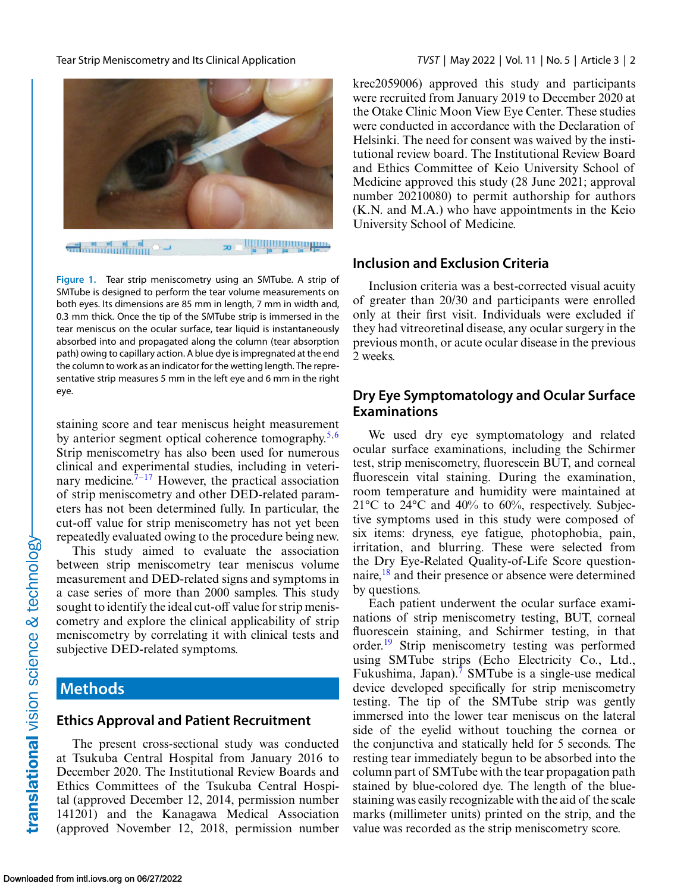<span id="page-1-0"></span>

**<u>IIIIIIIIIIIIIIIIIIIIIIIIIIIIIIII</u>** æ.

**Figure 1.** Tear strip meniscometry using an SMTube. A strip of SMTube is designed to perform the tear volume measurements on both eyes. Its dimensions are 85 mm in length, 7 mm in width and, 0.3 mm thick. Once the tip of the SMTube strip is immersed in the tear meniscus on the ocular surface, tear liquid is instantaneously absorbed into and propagated along the column (tear absorption path) owing to capillary action. A blue dye is impregnated at the end the column to work as an indicator for the wetting length. The representative strip measures 5 mm in the left eye and 6 mm in the right eye.

staining score and tear meniscus height measurement by anterior segment optical coherence tomography.<sup>5,6</sup> Strip meniscometry has also been used for numerous clinical and experimental studies, including in veterinary medicine.<sup> $7-17$ </sup> However, the practical association of strip meniscometry and other DED-related parameters has not been determined fully. In particular, the cut-off value for strip meniscometry has not yet been repeatedly evaluated owing to the procedure being new.

This study aimed to evaluate the association between strip meniscometry tear meniscus volume measurement and DED-related signs and symptoms in a case series of more than 2000 samples. This study sought to identify the ideal cut-off value for strip meniscometry and explore the clinical applicability of strip meniscometry by correlating it with clinical tests and subjective DED-related symptoms.

### **Methods**

#### **Ethics Approval and Patient Recruitment**

The present cross-sectional study was conducted at Tsukuba Central Hospital from January 2016 to December 2020. The Institutional Review Boards and Ethics Committees of the Tsukuba Central Hospital (approved December 12, 2014, permission number 141201) and the Kanagawa Medical Association (approved November 12, 2018, permission number krec2059006) approved this study and participants

were recruited from January 2019 to December 2020 at the Otake Clinic Moon View Eye Center. These studies were conducted in accordance with the Declaration of Helsinki. The need for consent was waived by the institutional review board. The Institutional Review Board and Ethics Committee of Keio University School of Medicine approved this study (28 June 2021; approval number 20210080) to permit authorship for authors (K.N. and M.A.) who have appointments in the Keio University School of Medicine.

#### **Inclusion and Exclusion Criteria**

Inclusion criteria was a best-corrected visual acuity of greater than 20/30 and participants were enrolled only at their first visit. Individuals were excluded if they had vitreoretinal disease, any ocular surgery in the previous month, or acute ocular disease in the previous 2 weeks.

### **Dry Eye Symptomatology and Ocular Surface Examinations**

We used dry eye symptomatology and related ocular surface examinations, including the Schirmer test, strip meniscometry, fluorescein BUT, and corneal fluorescein vital staining. During the examination, room temperature and humidity were maintained at  $21^{\circ}$ C to  $24^{\circ}$ C and  $40\%$  to  $60\%$ , respectively. Subjective symptoms used in this study were composed of six items: dryness, eye fatigue, photophobia, pain, irritation, and blurring. These were selected from the Dry Eye-Related Quality-of-Life Score question-naire,<sup>[18](#page-6-0)</sup> and their presence or absence were determined by questions.

Each patient underwent the ocular surface examinations of strip meniscometry testing, BUT, corneal fluorescein staining, and Schirmer testing, in that order.<sup>[19](#page-6-0)</sup> Strip meniscometry testing was performed using SMTube strips (Echo Electricity Co., Ltd., Fukushima, Japan).<sup>[7](#page-5-0)</sup> SMTube is a single-use medical device developed specifically for strip meniscometry testing. The tip of the SMTube strip was gently immersed into the lower tear meniscus on the lateral side of the eyelid without touching the cornea or the conjunctiva and statically held for 5 seconds. The resting tear immediately begun to be absorbed into the column part of SMTube with the tear propagation path stained by blue-colored dye. The length of the bluestaining was easily recognizable with the aid of the scale marks (millimeter units) printed on the strip, and the value was recorded as the strip meniscometry score.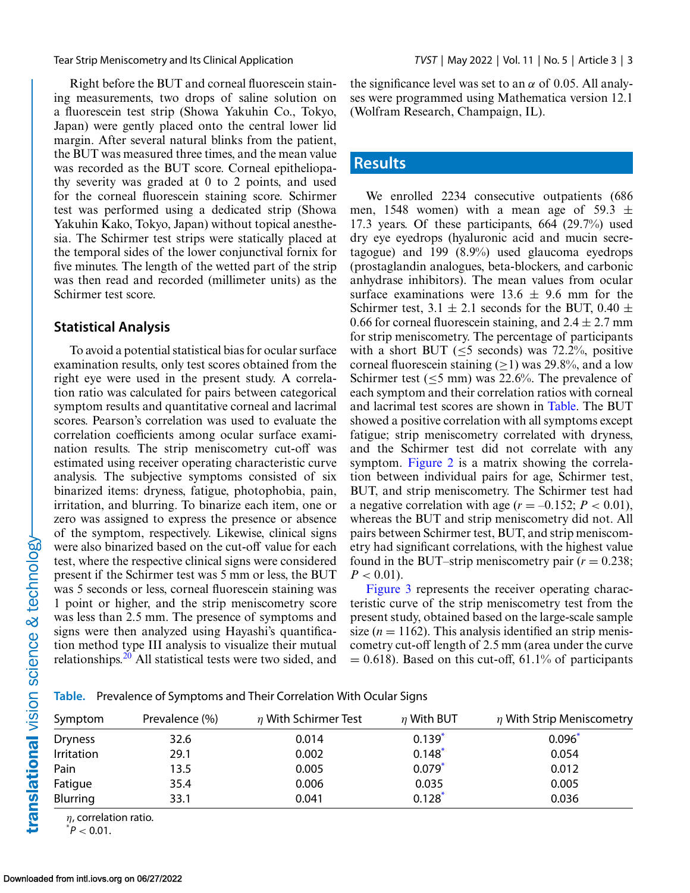Right before the BUT and corneal fluorescein staining measurements, two drops of saline solution on a fluorescein test strip (Showa Yakuhin Co., Tokyo, Japan) were gently placed onto the central lower lid margin. After several natural blinks from the patient, the BUT was measured three times, and the mean value was recorded as the BUT score. Corneal epitheliopathy severity was graded at 0 to 2 points, and used for the corneal fluorescein staining score. Schirmer test was performed using a dedicated strip (Showa Yakuhin Kako, Tokyo, Japan) without topical anesthesia. The Schirmer test strips were statically placed at the temporal sides of the lower conjunctival fornix for five minutes. The length of the wetted part of the strip was then read and recorded (millimeter units) as the Schirmer test score.

#### **Statistical Analysis**

To avoid a potential statistical bias for ocular surface examination results, only test scores obtained from the right eye were used in the present study. A correlation ratio was calculated for pairs between categorical symptom results and quantitative corneal and lacrimal scores. Pearson's correlation was used to evaluate the correlation coefficients among ocular surface examination results. The strip meniscometry cut-off was estimated using receiver operating characteristic curve analysis. The subjective symptoms consisted of six binarized items: dryness, fatigue, photophobia, pain, irritation, and blurring. To binarize each item, one or zero was assigned to express the presence or absence of the symptom, respectively. Likewise, clinical signs were also binarized based on the cut-off value for each test, where the respective clinical signs were considered present if the Schirmer test was 5 mm or less, the BUT was 5 seconds or less, corneal fluorescein staining was 1 point or higher, and the strip meniscometry score was less than 2.5 mm. The presence of symptoms and signs were then analyzed using Hayashi's quantification method type III analysis to visualize their mutual relationships.<sup>[20](#page-6-0)</sup> All statistical tests were two sided, and

the significance level was set to an  $\alpha$  of 0.05. All analyses were programmed using Mathematica version 12.1 (Wolfram Research, Champaign, IL).

#### **Results**

We enrolled 2234 consecutive outpatients (686 men, 1548 women) with a mean age of 59.3  $\pm$ 17.3 years. Of these participants, 664 (29.7%) used dry eye eyedrops (hyaluronic acid and mucin secretagogue) and 199 (8.9%) used glaucoma eyedrops (prostaglandin analogues, beta-blockers, and carbonic anhydrase inhibitors). The mean values from ocular surface examinations were  $13.6 \pm 9.6$  mm for the Schirmer test,  $3.1 \pm 2.1$  seconds for the BUT,  $0.40 \pm$ 0.66 for corneal fluorescein staining, and  $2.4 \pm 2.7$  mm for strip meniscometry. The percentage of participants with a short BUT ( $\leq$ 5 seconds) was 72.2%, positive corneal fluorescein staining ( $\geq$ 1) was 29.8%, and a low Schirmer test ( $\leq$ 5 mm) was 22.6%. The prevalence of each symptom and their correlation ratios with corneal and lacrimal test scores are shown in Table. The BUT showed a positive correlation with all symptoms except fatigue; strip meniscometry correlated with dryness, and the Schirmer test did not correlate with any symptom. [Figure 2](#page-3-0) is a matrix showing the correlation between individual pairs for age, Schirmer test, BUT, and strip meniscometry. The Schirmer test had a negative correlation with age  $(r = -0.152; P < 0.01)$ , whereas the BUT and strip meniscometry did not. All pairs between Schirmer test, BUT, and strip meniscometry had significant correlations, with the highest value found in the BUT–strip meniscometry pair  $(r = 0.238)$ ;  $P < 0.01$ ).

[Figure 3](#page-3-0) represents the receiver operating characteristic curve of the strip meniscometry test from the present study, obtained based on the large-scale sample size  $(n = 1162)$ . This analysis identified an strip meniscometry cut-off length of 2.5 mm (area under the curve  $= 0.618$ ). Based on this cut-off, 61.1% of participants

**Table.** Prevalence of Symptoms and Their Correlation With Ocular Signs

| Symptom        | Prevalence (%) | $\eta$ With Schirmer Test | $\eta$ With BUT | $\eta$ With Strip Meniscometry |
|----------------|----------------|---------------------------|-----------------|--------------------------------|
| <b>Dryness</b> | 32.6           | 0.014                     | $0.139*$        | $0.096*$                       |
| Irritation     | 29.1           | 0.002                     | $0.148*$        | 0.054                          |
| Pain           | 13.5           | 0.005                     | $0.079*$        | 0.012                          |
| Fatigue        | 35.4           | 0.006                     | 0.035           | 0.005                          |
| Blurring       | 33.1           | 0.041                     | $0.128*$        | 0.036                          |

 $\eta$ , correlation ratio.

 $^*P < 0.01$ .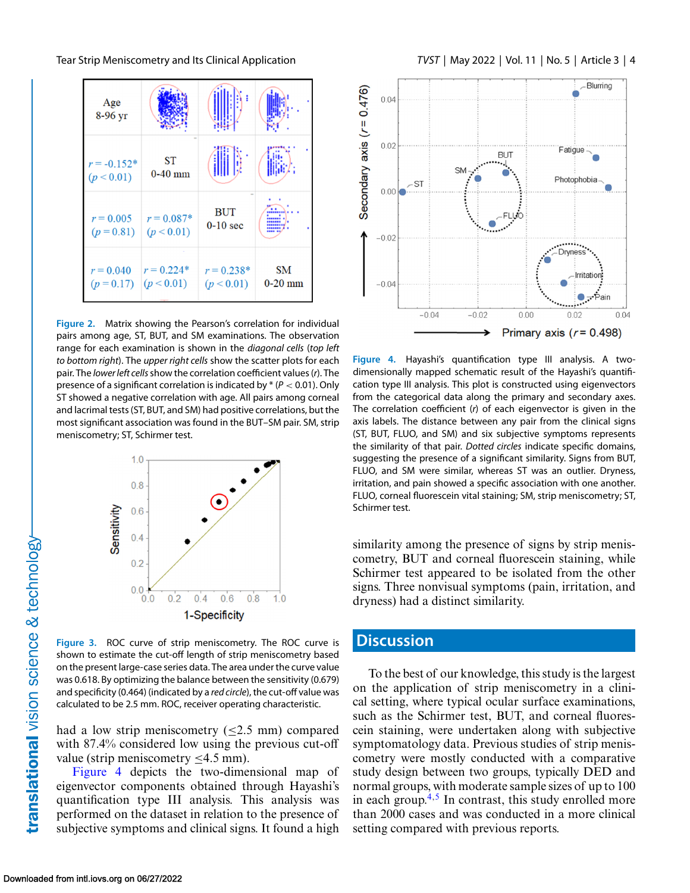<span id="page-3-0"></span>



**Figure 2.** Matrix showing the Pearson's correlation for individual pairs among age, ST, BUT, and SM examinations. The observation range for each examination is shown in the *diagonal cells* (*top left to bottom right*). The *upper right cells* show the scatter plots for each pair. The *lower left cells*show the correlation coefficient values (*r*). The presence of a significant correlation is indicated by \* (*P* < 0.01). Only ST showed a negative correlation with age. All pairs among corneal and lacrimal tests (ST, BUT, and SM) had positive correlations, but the most significant association was found in the BUT–SM pair. SM, strip meniscometry; ST, Schirmer test.



**Figure 3.** ROC curve of strip meniscometry. The ROC curve is shown to estimate the cut-off length of strip meniscometry based on the present large-case series data. The area under the curve value was 0.618. By optimizing the balance between the sensitivity (0.679) and specificity (0.464) (indicated by a *red circle*), the cut-off value was calculated to be 2.5 mm. ROC, receiver operating characteristic.

had a low strip meniscometry  $(\leq 2.5$  mm) compared with 87.4% considered low using the previous cut-off value (strip meniscometry ≤4.5 mm).

Figure 4 depicts the two-dimensional map of eigenvector components obtained through Hayashi's quantification type III analysis. This analysis was performed on the dataset in relation to the presence of subjective symptoms and clinical signs. It found a high



**Figure 4.** Hayashi's quantification type III analysis. A twodimensionally mapped schematic result of the Hayashi's quantification type III analysis. This plot is constructed using eigenvectors from the categorical data along the primary and secondary axes. The correlation coefficient (*r*) of each eigenvector is given in the axis labels. The distance between any pair from the clinical signs (ST, BUT, FLUO, and SM) and six subjective symptoms represents the similarity of that pair. *Dotted circles* indicate specific domains, suggesting the presence of a significant similarity. Signs from BUT, FLUO, and SM were similar, whereas ST was an outlier. Dryness, irritation, and pain showed a specific association with one another. FLUO, corneal fluorescein vital staining; SM, strip meniscometry; ST, Schirmer test.

similarity among the presence of signs by strip meniscometry, BUT and corneal fluorescein staining, while Schirmer test appeared to be isolated from the other signs. Three nonvisual symptoms (pain, irritation, and dryness) had a distinct similarity.

## **Discussion**

To the best of our knowledge, this study is the largest on the application of strip meniscometry in a clinical setting, where typical ocular surface examinations, such as the Schirmer test, BUT, and corneal fluorescein staining, were undertaken along with subjective symptomatology data. Previous studies of strip meniscometry were mostly conducted with a comparative study design between two groups, typically DED and normal groups, with moderate sample sizes of up to 100 in each group. $4,5$  In contrast, this study enrolled more than 2000 cases and was conducted in a more clinical setting compared with previous reports.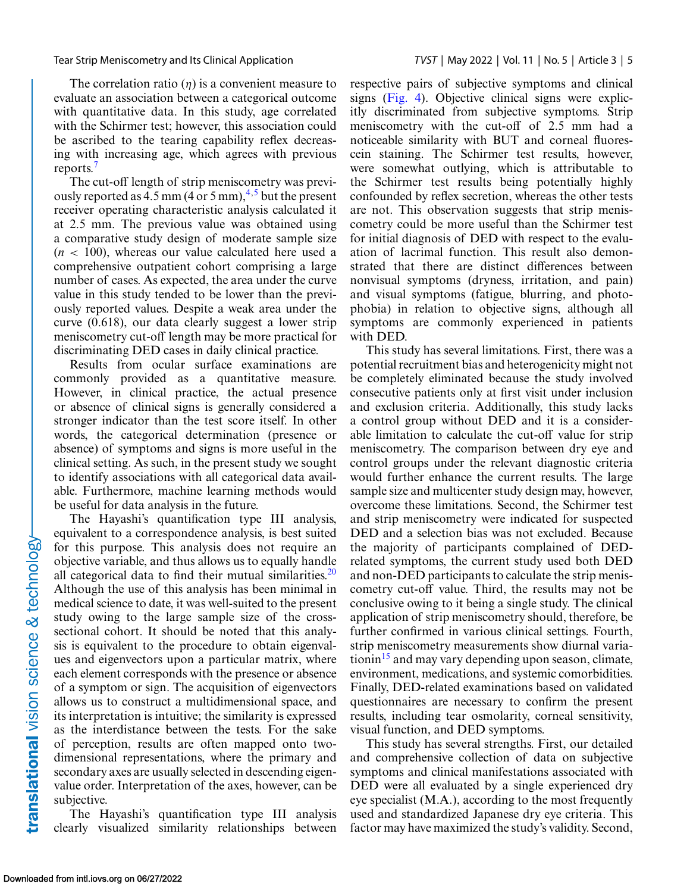The correlation ratio  $(n)$  is a convenient measure to evaluate an association between a categorical outcome with quantitative data. In this study, age correlated with the Schirmer test; however, this association could be ascribed to the tearing capability reflex decreasing with increasing age, which agrees with previous reports.[7](#page-5-0)

The cut-off length of strip meniscometry was previously reported as  $4.5$  mm (4 or 5 mm),<sup> $4.5$ </sup> but the present receiver operating characteristic analysis calculated it at 2.5 mm. The previous value was obtained using a comparative study design of moderate sample size  $(n < 100)$ , whereas our value calculated here used a comprehensive outpatient cohort comprising a large number of cases. As expected, the area under the curve value in this study tended to be lower than the previously reported values. Despite a weak area under the curve (0.618), our data clearly suggest a lower strip meniscometry cut-off length may be more practical for discriminating DED cases in daily clinical practice.

Results from ocular surface examinations are commonly provided as a quantitative measure. However, in clinical practice, the actual presence or absence of clinical signs is generally considered a stronger indicator than the test score itself. In other words, the categorical determination (presence or absence) of symptoms and signs is more useful in the clinical setting. As such, in the present study we sought to identify associations with all categorical data available. Furthermore, machine learning methods would be useful for data analysis in the future.

The Hayashi's quantification type III analysis, equivalent to a correspondence analysis, is best suited for this purpose. This analysis does not require an objective variable, and thus allows us to equally handle all categorical data to find their mutual similarities. $20$ Although the use of this analysis has been minimal in medical science to date, it was well-suited to the present study owing to the large sample size of the crosssectional cohort. It should be noted that this analysis is equivalent to the procedure to obtain eigenvalues and eigenvectors upon a particular matrix, where each element corresponds with the presence or absence of a symptom or sign. The acquisition of eigenvectors allows us to construct a multidimensional space, and its interpretation is intuitive; the similarity is expressed as the interdistance between the tests. For the sake of perception, results are often mapped onto twodimensional representations, where the primary and secondary axes are usually selected in descending eigenvalue order. Interpretation of the axes, however, can be subjective.

The Hayashi's quantification type III analysis clearly visualized similarity relationships between

respective pairs of subjective symptoms and clinical signs [\(Fig. 4\)](#page-3-0). Objective clinical signs were explicitly discriminated from subjective symptoms. Strip meniscometry with the cut-off of 2.5 mm had a noticeable similarity with BUT and corneal fluorescein staining. The Schirmer test results, however, were somewhat outlying, which is attributable to the Schirmer test results being potentially highly confounded by reflex secretion, whereas the other tests are not. This observation suggests that strip meniscometry could be more useful than the Schirmer test for initial diagnosis of DED with respect to the evaluation of lacrimal function. This result also demonstrated that there are distinct differences between nonvisual symptoms (dryness, irritation, and pain) and visual symptoms (fatigue, blurring, and photophobia) in relation to objective signs, although all symptoms are commonly experienced in patients with DED.

This study has several limitations. First, there was a potential recruitment bias and heterogenicity might not be completely eliminated because the study involved consecutive patients only at first visit under inclusion and exclusion criteria. Additionally, this study lacks a control group without DED and it is a considerable limitation to calculate the cut-off value for strip meniscometry. The comparison between dry eye and control groups under the relevant diagnostic criteria would further enhance the current results. The large sample size and multicenter study design may, however, overcome these limitations. Second, the Schirmer test and strip meniscometry were indicated for suspected DED and a selection bias was not excluded. Because the majority of participants complained of DEDrelated symptoms, the current study used both DED and non-DED participants to calculate the strip meniscometry cut-off value. Third, the results may not be conclusive owing to it being a single study. The clinical application of strip meniscometry should, therefore, be further confirmed in various clinical settings. Fourth, strip meniscometry measurements show diurnal variationin<sup>15</sup> and may vary depending upon season, climate, environment, medications, and systemic comorbidities. Finally, DED-related examinations based on validated questionnaires are necessary to confirm the present results, including tear osmolarity, corneal sensitivity, visual function, and DED symptoms.

This study has several strengths. First, our detailed and comprehensive collection of data on subjective symptoms and clinical manifestations associated with DED were all evaluated by a single experienced dry eye specialist (M.A.), according to the most frequently used and standardized Japanese dry eye criteria. This factor may have maximized the study's validity. Second,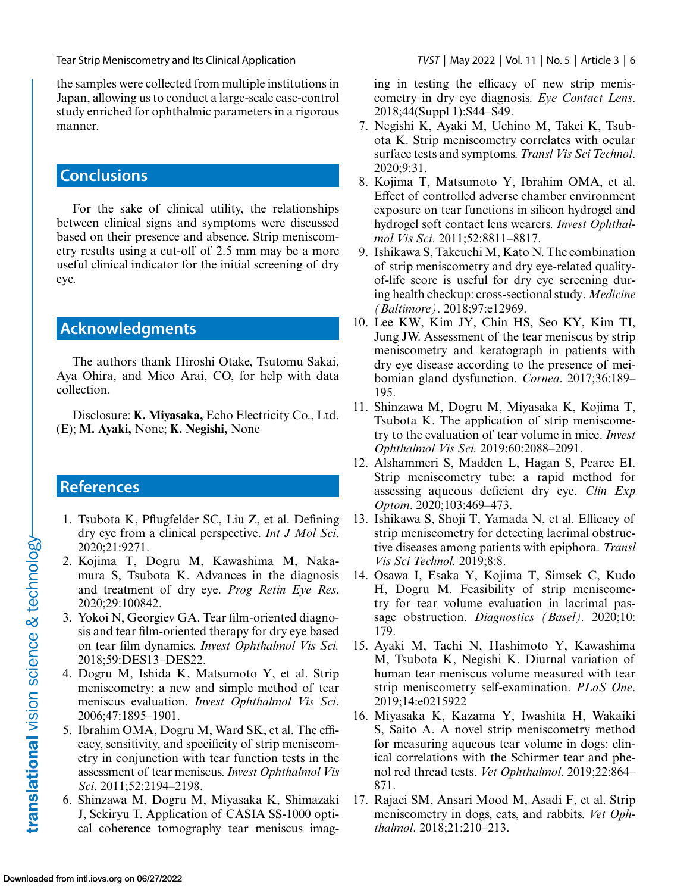<span id="page-5-0"></span>the samples were collected from multiple institutions in Japan, allowing us to conduct a large-scale case-control study enriched for ophthalmic parameters in a rigorous manner.

# **Conclusions**

For the sake of clinical utility, the relationships between clinical signs and symptoms were discussed based on their presence and absence. Strip meniscometry results using a cut-off of 2.5 mm may be a more useful clinical indicator for the initial screening of dry eye.

## **Acknowledgments**

The authors thank Hiroshi Otake, Tsutomu Sakai, Aya Ohira, and Mico Arai, CO, for help with data collection.

Disclosure: **K. Miyasaka,** Echo Electricity Co., Ltd. (E); **M. Ayaki,** None; **K. Negishi,** None

## **References**

- 1. Tsubota K, Pflugfelder SC, Liu Z, et al. Defining dry eye from a clinical perspective. *Int J Mol Sci*. 2020;21:9271.
- 2. Kojima T, Dogru M, Kawashima M, Nakamura S, Tsubota K. Advances in the diagnosis and treatment of dry eye. *Prog Retin Eye Res*. 2020;29:100842.
- 3. Yokoi N, Georgiev GA. Tear film-oriented diagnosis and tear film-oriented therapy for dry eye based on tear film dynamics. *Invest Ophthalmol Vis Sci.* 2018;59:DES13–DES22.
- 4. Dogru M, Ishida K, Matsumoto Y, et al. Strip meniscometry: a new and simple method of tear meniscus evaluation. *Invest Ophthalmol Vis Sci*. 2006;47:1895–1901.
- 5. Ibrahim OMA, Dogru M, Ward SK, et al. The efficacy, sensitivity, and specificity of strip meniscometry in conjunction with tear function tests in the assessment of tear meniscus. *Invest Ophthalmol Vis Sci*. 2011;52:2194–2198.
- 6. Shinzawa M, Dogru M, Miyasaka K, Shimazaki J, Sekiryu T. Application of CASIA SS-1000 optical coherence tomography tear meniscus imag-

ing in testing the efficacy of new strip meniscometry in dry eye diagnosis. *Eye Contact Lens*. 2018;44(Suppl 1):S44–S49.

- 7. Negishi K, Ayaki M, Uchino M, Takei K, Tsubota K. Strip meniscometry correlates with ocular surface tests and symptoms. *Transl Vis Sci Technol*. 2020;9:31.
- 8. Kojima T, Matsumoto Y, Ibrahim OMA, et al. Effect of controlled adverse chamber environment exposure on tear functions in silicon hydrogel and hydrogel soft contact lens wearers. *Invest Ophthalmol Vis Sci*. 2011;52:8811–8817.
- 9. Ishikawa S, Takeuchi M, Kato N. The combination of strip meniscometry and dry eye-related qualityof-life score is useful for dry eye screening during health checkup: cross-sectional study. *Medicine (Baltimore)*. 2018;97:e12969.
- 10. Lee KW, Kim JY, Chin HS, Seo KY, Kim TI, Jung JW. Assessment of the tear meniscus by strip meniscometry and keratograph in patients with dry eye disease according to the presence of meibomian gland dysfunction. *Cornea*. 2017;36:189– 195.
- 11. Shinzawa M, Dogru M, Miyasaka K, Kojima T, Tsubota K. The application of strip meniscometry to the evaluation of tear volume in mice. *Invest Ophthalmol Vis Sci.* 2019;60:2088–2091.
- 12. Alshammeri S, Madden L, Hagan S, Pearce EI. Strip meniscometry tube: a rapid method for assessing aqueous deficient dry eye. *Clin Exp Optom*. 2020;103:469–473.
- 13. Ishikawa S, Shoji T, Yamada N, et al. Efficacy of strip meniscometry for detecting lacrimal obstructive diseases among patients with epiphora. *Transl Vis Sci Technol.* 2019;8:8.
- 14. Osawa I, Esaka Y, Kojima T, Simsek C, Kudo H, Dogru M. Feasibility of strip meniscometry for tear volume evaluation in lacrimal passage obstruction. *Diagnostics (Basel).* 2020;10: 179.
- 15. Ayaki M, Tachi N, Hashimoto Y, Kawashima M, Tsubota K, Negishi K. Diurnal variation of human tear meniscus volume measured with tear strip meniscometry self-examination. *PLoS One*. 2019;14:e0215922
- 16. Miyasaka K, Kazama Y, Iwashita H, Wakaiki S, Saito A. A novel strip meniscometry method for measuring aqueous tear volume in dogs: clinical correlations with the Schirmer tear and phenol red thread tests. *Vet Ophthalmol*. 2019;22:864– 871.
- 17. Rajaei SM, Ansari Mood M, Asadi F, et al. Strip meniscometry in dogs, cats, and rabbits. *Vet Ophthalmol*. 2018;21:210–213.